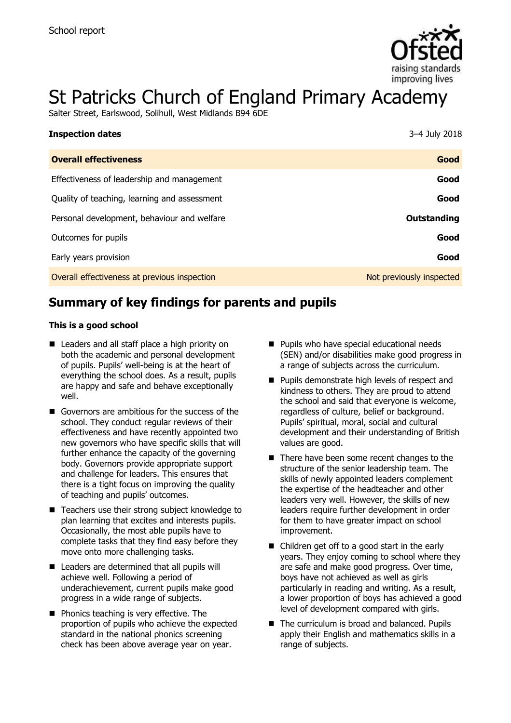

# St Patricks Church of England Primary Academy

Salter Street, Earlswood, Solihull, West Midlands B94 6DE

| <b>Inspection dates</b>                      | 3-4 July 2018            |
|----------------------------------------------|--------------------------|
| <b>Overall effectiveness</b>                 | Good                     |
| Effectiveness of leadership and management   | Good                     |
| Quality of teaching, learning and assessment | Good                     |
| Personal development, behaviour and welfare  | Outstanding              |
| Outcomes for pupils                          | Good                     |
| Early years provision                        | Good                     |
| Overall effectiveness at previous inspection | Not previously inspected |

# **Summary of key findings for parents and pupils**

#### **This is a good school**

- Leaders and all staff place a high priority on both the academic and personal development of pupils. Pupils' well-being is at the heart of everything the school does. As a result, pupils are happy and safe and behave exceptionally well.
- Governors are ambitious for the success of the school. They conduct regular reviews of their effectiveness and have recently appointed two new governors who have specific skills that will further enhance the capacity of the governing body. Governors provide appropriate support and challenge for leaders. This ensures that there is a tight focus on improving the quality of teaching and pupils' outcomes.
- Teachers use their strong subject knowledge to plan learning that excites and interests pupils. Occasionally, the most able pupils have to complete tasks that they find easy before they move onto more challenging tasks.
- Leaders are determined that all pupils will achieve well. Following a period of underachievement, current pupils make good progress in a wide range of subjects.
- **Phonics teaching is very effective. The** proportion of pupils who achieve the expected standard in the national phonics screening check has been above average year on year.
- **Pupils who have special educational needs** (SEN) and/or disabilities make good progress in a range of subjects across the curriculum.
- **Pupils demonstrate high levels of respect and** kindness to others. They are proud to attend the school and said that everyone is welcome, regardless of culture, belief or background. Pupils' spiritual, moral, social and cultural development and their understanding of British values are good.
- There have been some recent changes to the structure of the senior leadership team. The skills of newly appointed leaders complement the expertise of the headteacher and other leaders very well. However, the skills of new leaders require further development in order for them to have greater impact on school improvement.
- Children get off to a good start in the early years. They enjoy coming to school where they are safe and make good progress. Over time, boys have not achieved as well as girls particularly in reading and writing. As a result, a lower proportion of boys has achieved a good level of development compared with girls.
- The curriculum is broad and balanced. Pupils apply their English and mathematics skills in a range of subjects.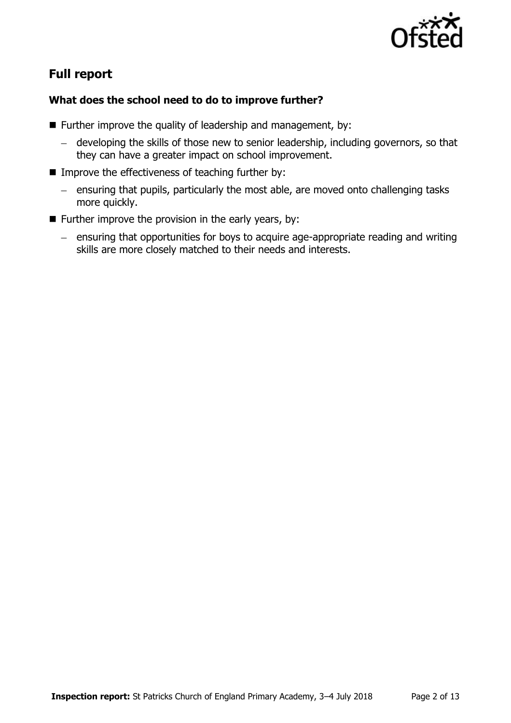

# **Full report**

### **What does the school need to do to improve further?**

- $\blacksquare$  Further improve the quality of leadership and management, by:
	- developing the skills of those new to senior leadership, including governors, so that they can have a greater impact on school improvement.
- $\blacksquare$  Improve the effectiveness of teaching further by:
	- ensuring that pupils, particularly the most able, are moved onto challenging tasks more quickly.
- **Further improve the provision in the early years, by:** 
	- $-$  ensuring that opportunities for boys to acquire age-appropriate reading and writing skills are more closely matched to their needs and interests.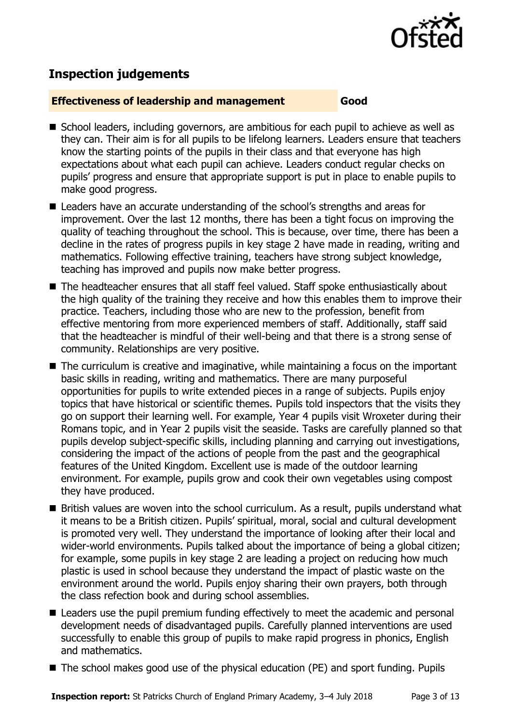

# **Inspection judgements**

#### **Effectiveness of leadership and management Good**

- School leaders, including governors, are ambitious for each pupil to achieve as well as they can. Their aim is for all pupils to be lifelong learners. Leaders ensure that teachers know the starting points of the pupils in their class and that everyone has high expectations about what each pupil can achieve. Leaders conduct regular checks on pupils' progress and ensure that appropriate support is put in place to enable pupils to make good progress.
- Leaders have an accurate understanding of the school's strengths and areas for improvement. Over the last 12 months, there has been a tight focus on improving the quality of teaching throughout the school. This is because, over time, there has been a decline in the rates of progress pupils in key stage 2 have made in reading, writing and mathematics. Following effective training, teachers have strong subject knowledge, teaching has improved and pupils now make better progress.
- The headteacher ensures that all staff feel valued. Staff spoke enthusiastically about the high quality of the training they receive and how this enables them to improve their practice. Teachers, including those who are new to the profession, benefit from effective mentoring from more experienced members of staff. Additionally, staff said that the headteacher is mindful of their well-being and that there is a strong sense of community. Relationships are very positive.
- The curriculum is creative and imaginative, while maintaining a focus on the important basic skills in reading, writing and mathematics. There are many purposeful opportunities for pupils to write extended pieces in a range of subjects. Pupils enjoy topics that have historical or scientific themes. Pupils told inspectors that the visits they go on support their learning well. For example, Year 4 pupils visit Wroxeter during their Romans topic, and in Year 2 pupils visit the seaside. Tasks are carefully planned so that pupils develop subject-specific skills, including planning and carrying out investigations, considering the impact of the actions of people from the past and the geographical features of the United Kingdom. Excellent use is made of the outdoor learning environment. For example, pupils grow and cook their own vegetables using compost they have produced.
- British values are woven into the school curriculum. As a result, pupils understand what it means to be a British citizen. Pupils' spiritual, moral, social and cultural development is promoted very well. They understand the importance of looking after their local and wider-world environments. Pupils talked about the importance of being a global citizen; for example, some pupils in key stage 2 are leading a project on reducing how much plastic is used in school because they understand the impact of plastic waste on the environment around the world. Pupils enjoy sharing their own prayers, both through the class refection book and during school assemblies.
- Leaders use the pupil premium funding effectively to meet the academic and personal development needs of disadvantaged pupils. Carefully planned interventions are used successfully to enable this group of pupils to make rapid progress in phonics, English and mathematics.
- The school makes good use of the physical education (PE) and sport funding. Pupils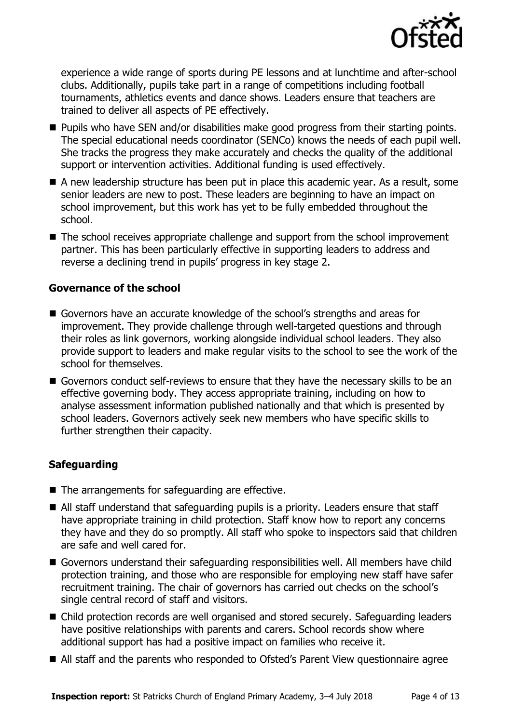

experience a wide range of sports during PE lessons and at lunchtime and after-school clubs. Additionally, pupils take part in a range of competitions including football tournaments, athletics events and dance shows. Leaders ensure that teachers are trained to deliver all aspects of PE effectively.

- **Pupils who have SEN and/or disabilities make good progress from their starting points.** The special educational needs coordinator (SENCo) knows the needs of each pupil well. She tracks the progress they make accurately and checks the quality of the additional support or intervention activities. Additional funding is used effectively.
- A new leadership structure has been put in place this academic year. As a result, some senior leaders are new to post. These leaders are beginning to have an impact on school improvement, but this work has yet to be fully embedded throughout the school.
- The school receives appropriate challenge and support from the school improvement partner. This has been particularly effective in supporting leaders to address and reverse a declining trend in pupils' progress in key stage 2.

#### **Governance of the school**

- Governors have an accurate knowledge of the school's strengths and areas for improvement. They provide challenge through well-targeted questions and through their roles as link governors, working alongside individual school leaders. They also provide support to leaders and make regular visits to the school to see the work of the school for themselves.
- Governors conduct self-reviews to ensure that they have the necessary skills to be an effective governing body. They access appropriate training, including on how to analyse assessment information published nationally and that which is presented by school leaders. Governors actively seek new members who have specific skills to further strengthen their capacity.

#### **Safeguarding**

- The arrangements for safeguarding are effective.
- All staff understand that safeguarding pupils is a priority. Leaders ensure that staff have appropriate training in child protection. Staff know how to report any concerns they have and they do so promptly. All staff who spoke to inspectors said that children are safe and well cared for.
- Governors understand their safeguarding responsibilities well. All members have child protection training, and those who are responsible for employing new staff have safer recruitment training. The chair of governors has carried out checks on the school's single central record of staff and visitors.
- Child protection records are well organised and stored securely. Safeguarding leaders have positive relationships with parents and carers. School records show where additional support has had a positive impact on families who receive it.
- All staff and the parents who responded to Ofsted's Parent View questionnaire agree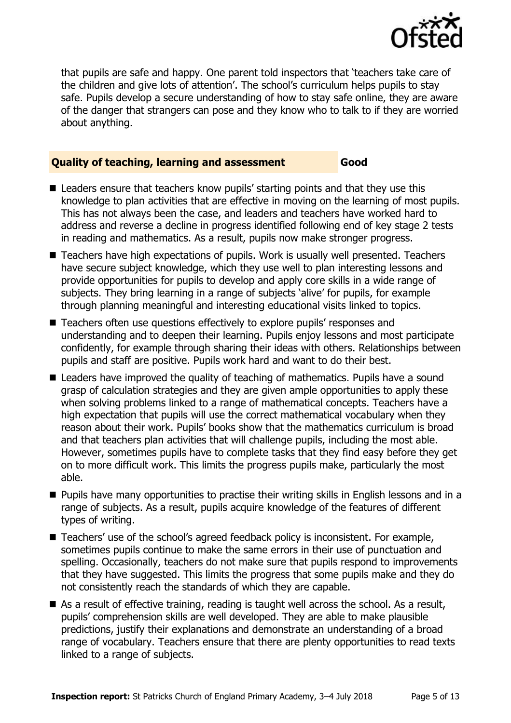

that pupils are safe and happy. One parent told inspectors that 'teachers take care of the children and give lots of attention'. The school's curriculum helps pupils to stay safe. Pupils develop a secure understanding of how to stay safe online, they are aware of the danger that strangers can pose and they know who to talk to if they are worried about anything.

#### **Quality of teaching, learning and assessment Good**

- Leaders ensure that teachers know pupils' starting points and that they use this knowledge to plan activities that are effective in moving on the learning of most pupils. This has not always been the case, and leaders and teachers have worked hard to address and reverse a decline in progress identified following end of key stage 2 tests in reading and mathematics. As a result, pupils now make stronger progress.
- Teachers have high expectations of pupils. Work is usually well presented. Teachers have secure subject knowledge, which they use well to plan interesting lessons and provide opportunities for pupils to develop and apply core skills in a wide range of subjects. They bring learning in a range of subjects 'alive' for pupils, for example through planning meaningful and interesting educational visits linked to topics.
- Teachers often use questions effectively to explore pupils' responses and understanding and to deepen their learning. Pupils enjoy lessons and most participate confidently, for example through sharing their ideas with others. Relationships between pupils and staff are positive. Pupils work hard and want to do their best.
- Leaders have improved the quality of teaching of mathematics. Pupils have a sound grasp of calculation strategies and they are given ample opportunities to apply these when solving problems linked to a range of mathematical concepts. Teachers have a high expectation that pupils will use the correct mathematical vocabulary when they reason about their work. Pupils' books show that the mathematics curriculum is broad and that teachers plan activities that will challenge pupils, including the most able. However, sometimes pupils have to complete tasks that they find easy before they get on to more difficult work. This limits the progress pupils make, particularly the most able.
- **Pupils have many opportunities to practise their writing skills in English lessons and in a** range of subjects. As a result, pupils acquire knowledge of the features of different types of writing.
- Teachers' use of the school's agreed feedback policy is inconsistent. For example, sometimes pupils continue to make the same errors in their use of punctuation and spelling. Occasionally, teachers do not make sure that pupils respond to improvements that they have suggested. This limits the progress that some pupils make and they do not consistently reach the standards of which they are capable.
- As a result of effective training, reading is taught well across the school. As a result, pupils' comprehension skills are well developed. They are able to make plausible predictions, justify their explanations and demonstrate an understanding of a broad range of vocabulary. Teachers ensure that there are plenty opportunities to read texts linked to a range of subjects.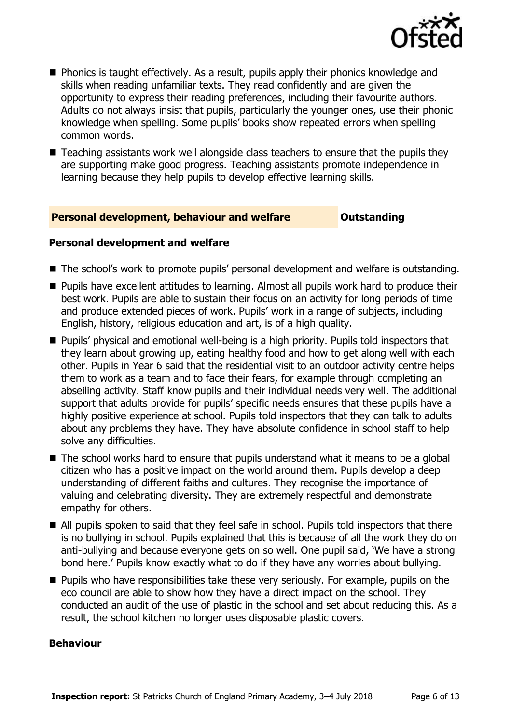

- **Phonics is taught effectively. As a result, pupils apply their phonics knowledge and** skills when reading unfamiliar texts. They read confidently and are given the opportunity to express their reading preferences, including their favourite authors. Adults do not always insist that pupils, particularly the younger ones, use their phonic knowledge when spelling. Some pupils' books show repeated errors when spelling common words.
- Teaching assistants work well alongside class teachers to ensure that the pupils they are supporting make good progress. Teaching assistants promote independence in learning because they help pupils to develop effective learning skills.

#### **Personal development, behaviour and welfare <b>COULTS** Outstanding

#### **Personal development and welfare**

- The school's work to promote pupils' personal development and welfare is outstanding.
- Pupils have excellent attitudes to learning. Almost all pupils work hard to produce their best work. Pupils are able to sustain their focus on an activity for long periods of time and produce extended pieces of work. Pupils' work in a range of subjects, including English, history, religious education and art, is of a high quality.
- **Pupils' physical and emotional well-being is a high priority. Pupils told inspectors that** they learn about growing up, eating healthy food and how to get along well with each other. Pupils in Year 6 said that the residential visit to an outdoor activity centre helps them to work as a team and to face their fears, for example through completing an abseiling activity. Staff know pupils and their individual needs very well. The additional support that adults provide for pupils' specific needs ensures that these pupils have a highly positive experience at school. Pupils told inspectors that they can talk to adults about any problems they have. They have absolute confidence in school staff to help solve any difficulties.
- The school works hard to ensure that pupils understand what it means to be a global citizen who has a positive impact on the world around them. Pupils develop a deep understanding of different faiths and cultures. They recognise the importance of valuing and celebrating diversity. They are extremely respectful and demonstrate empathy for others.
- All pupils spoken to said that they feel safe in school. Pupils told inspectors that there is no bullying in school. Pupils explained that this is because of all the work they do on anti-bullying and because everyone gets on so well. One pupil said, 'We have a strong bond here.' Pupils know exactly what to do if they have any worries about bullying.
- **Pupils who have responsibilities take these very seriously. For example, pupils on the** eco council are able to show how they have a direct impact on the school. They conducted an audit of the use of plastic in the school and set about reducing this. As a result, the school kitchen no longer uses disposable plastic covers.

#### **Behaviour**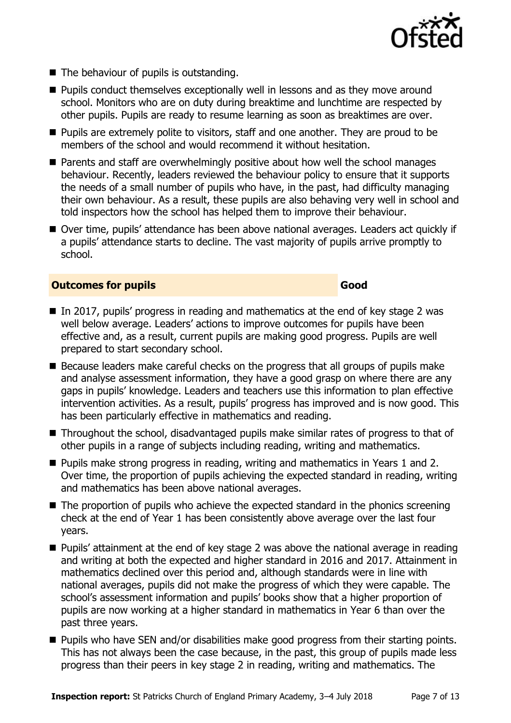

- The behaviour of pupils is outstanding.
- **Pupils conduct themselves exceptionally well in lessons and as they move around** school. Monitors who are on duty during breaktime and lunchtime are respected by other pupils. Pupils are ready to resume learning as soon as breaktimes are over.
- **Pupils are extremely polite to visitors, staff and one another. They are proud to be** members of the school and would recommend it without hesitation.
- Parents and staff are overwhelmingly positive about how well the school manages behaviour. Recently, leaders reviewed the behaviour policy to ensure that it supports the needs of a small number of pupils who have, in the past, had difficulty managing their own behaviour. As a result, these pupils are also behaving very well in school and told inspectors how the school has helped them to improve their behaviour.
- Over time, pupils' attendance has been above national averages. Leaders act quickly if a pupils' attendance starts to decline. The vast majority of pupils arrive promptly to school.

#### **Outcomes for pupils Good**

- In 2017, pupils' progress in reading and mathematics at the end of key stage 2 was well below average. Leaders' actions to improve outcomes for pupils have been effective and, as a result, current pupils are making good progress. Pupils are well prepared to start secondary school.
- $\blacksquare$  Because leaders make careful checks on the progress that all groups of pupils make and analyse assessment information, they have a good grasp on where there are any gaps in pupils' knowledge. Leaders and teachers use this information to plan effective intervention activities. As a result, pupils' progress has improved and is now good. This has been particularly effective in mathematics and reading.
- Throughout the school, disadvantaged pupils make similar rates of progress to that of other pupils in a range of subjects including reading, writing and mathematics.
- **Pupils make strong progress in reading, writing and mathematics in Years 1 and 2.** Over time, the proportion of pupils achieving the expected standard in reading, writing and mathematics has been above national averages.
- The proportion of pupils who achieve the expected standard in the phonics screening check at the end of Year 1 has been consistently above average over the last four years.
- Pupils' attainment at the end of key stage 2 was above the national average in reading and writing at both the expected and higher standard in 2016 and 2017. Attainment in mathematics declined over this period and, although standards were in line with national averages, pupils did not make the progress of which they were capable. The school's assessment information and pupils' books show that a higher proportion of pupils are now working at a higher standard in mathematics in Year 6 than over the past three years.
- **Pupils who have SEN and/or disabilities make good progress from their starting points.** This has not always been the case because, in the past, this group of pupils made less progress than their peers in key stage 2 in reading, writing and mathematics. The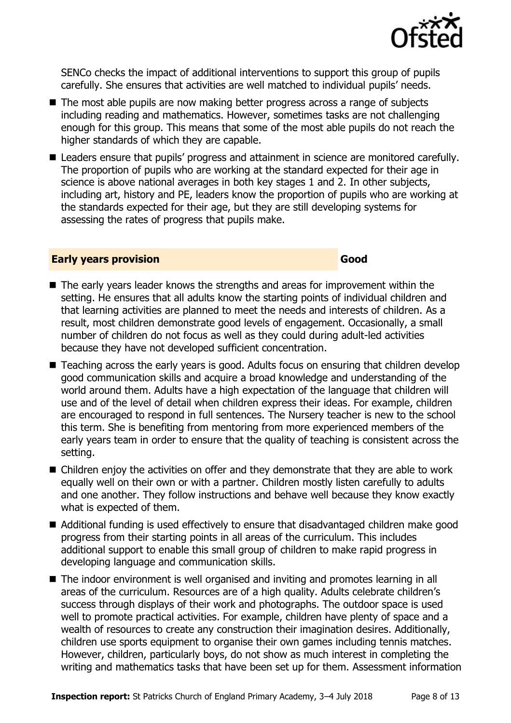

SENCo checks the impact of additional interventions to support this group of pupils carefully. She ensures that activities are well matched to individual pupils' needs.

- The most able pupils are now making better progress across a range of subjects including reading and mathematics. However, sometimes tasks are not challenging enough for this group. This means that some of the most able pupils do not reach the higher standards of which they are capable.
- Leaders ensure that pupils' progress and attainment in science are monitored carefully. The proportion of pupils who are working at the standard expected for their age in science is above national averages in both key stages 1 and 2. In other subjects, including art, history and PE, leaders know the proportion of pupils who are working at the standards expected for their age, but they are still developing systems for assessing the rates of progress that pupils make.

#### **Early years provision Good Good**

- The early years leader knows the strengths and areas for improvement within the setting. He ensures that all adults know the starting points of individual children and that learning activities are planned to meet the needs and interests of children. As a result, most children demonstrate good levels of engagement. Occasionally, a small number of children do not focus as well as they could during adult-led activities because they have not developed sufficient concentration.
- Teaching across the early years is good. Adults focus on ensuring that children develop good communication skills and acquire a broad knowledge and understanding of the world around them. Adults have a high expectation of the language that children will use and of the level of detail when children express their ideas. For example, children are encouraged to respond in full sentences. The Nursery teacher is new to the school this term. She is benefiting from mentoring from more experienced members of the early years team in order to ensure that the quality of teaching is consistent across the setting.
- Children enjoy the activities on offer and they demonstrate that they are able to work equally well on their own or with a partner. Children mostly listen carefully to adults and one another. They follow instructions and behave well because they know exactly what is expected of them.
- Additional funding is used effectively to ensure that disadvantaged children make good progress from their starting points in all areas of the curriculum. This includes additional support to enable this small group of children to make rapid progress in developing language and communication skills.
- The indoor environment is well organised and inviting and promotes learning in all areas of the curriculum. Resources are of a high quality. Adults celebrate children's success through displays of their work and photographs. The outdoor space is used well to promote practical activities. For example, children have plenty of space and a wealth of resources to create any construction their imagination desires. Additionally, children use sports equipment to organise their own games including tennis matches. However, children, particularly boys, do not show as much interest in completing the writing and mathematics tasks that have been set up for them. Assessment information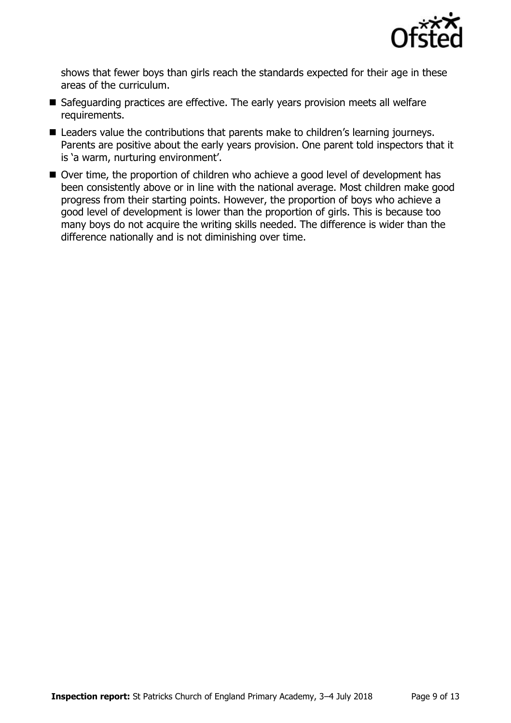

shows that fewer boys than girls reach the standards expected for their age in these areas of the curriculum.

- Safeguarding practices are effective. The early years provision meets all welfare requirements.
- Leaders value the contributions that parents make to children's learning journeys. Parents are positive about the early years provision. One parent told inspectors that it is 'a warm, nurturing environment'.
- Over time, the proportion of children who achieve a good level of development has been consistently above or in line with the national average. Most children make good progress from their starting points. However, the proportion of boys who achieve a good level of development is lower than the proportion of girls. This is because too many boys do not acquire the writing skills needed. The difference is wider than the difference nationally and is not diminishing over time.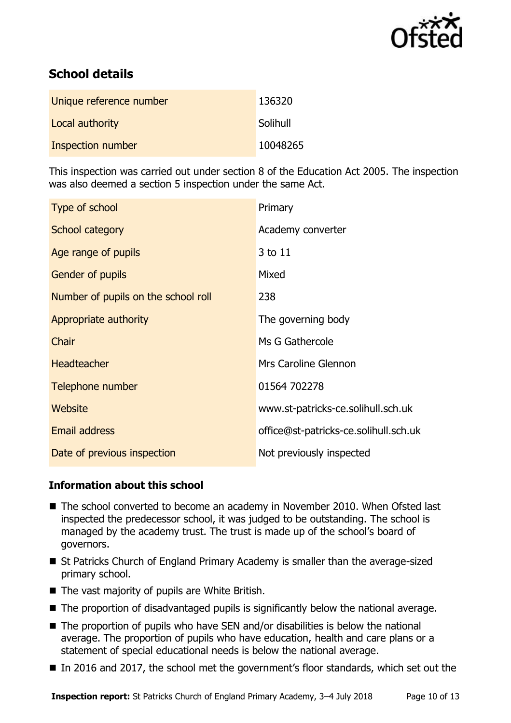

# **School details**

| Unique reference number | 136320   |
|-------------------------|----------|
| Local authority         | Solihull |
| Inspection number       | 10048265 |

This inspection was carried out under section 8 of the Education Act 2005. The inspection was also deemed a section 5 inspection under the same Act.

| Type of school                      | Primary                               |
|-------------------------------------|---------------------------------------|
| School category                     | Academy converter                     |
| Age range of pupils                 | 3 to 11                               |
| Gender of pupils                    | Mixed                                 |
| Number of pupils on the school roll | 238                                   |
| Appropriate authority               | The governing body                    |
| Chair                               | Ms G Gathercole                       |
| <b>Headteacher</b>                  | Mrs Caroline Glennon                  |
| Telephone number                    | 01564 702278                          |
| Website                             | www.st-patricks-ce.solihull.sch.uk    |
| <b>Email address</b>                | office@st-patricks-ce.solihull.sch.uk |
| Date of previous inspection         | Not previously inspected              |

#### **Information about this school**

- The school converted to become an academy in November 2010. When Ofsted last inspected the predecessor school, it was judged to be outstanding. The school is managed by the academy trust. The trust is made up of the school's board of governors.
- St Patricks Church of England Primary Academy is smaller than the average-sized primary school.
- The vast majority of pupils are White British.
- The proportion of disadvantaged pupils is significantly below the national average.
- $\blacksquare$  The proportion of pupils who have SEN and/or disabilities is below the national average. The proportion of pupils who have education, health and care plans or a statement of special educational needs is below the national average.
- In 2016 and 2017, the school met the government's floor standards, which set out the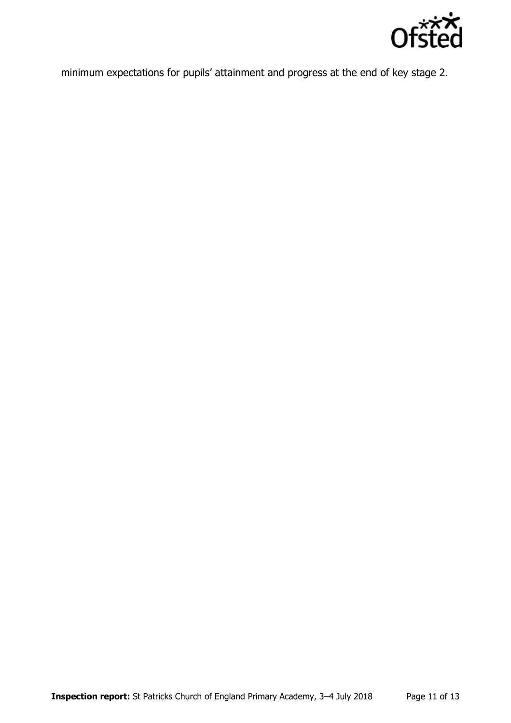

minimum expectations for pupils' attainment and progress at the end of key stage 2.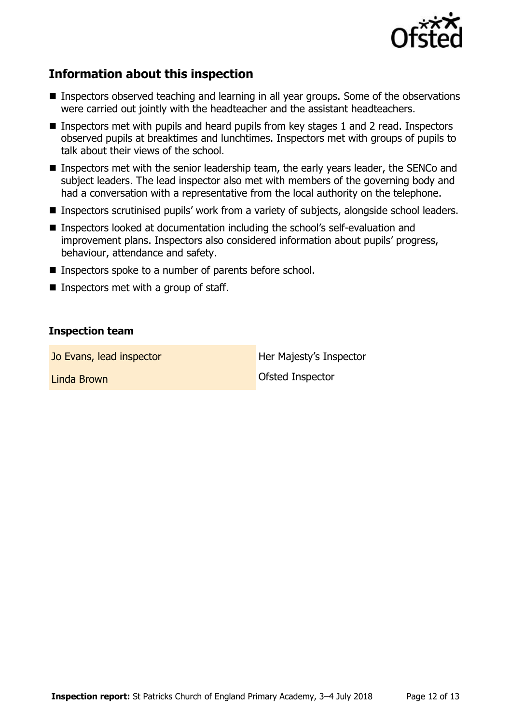

# **Information about this inspection**

- Inspectors observed teaching and learning in all year groups. Some of the observations were carried out jointly with the headteacher and the assistant headteachers.
- Inspectors met with pupils and heard pupils from key stages 1 and 2 read. Inspectors observed pupils at breaktimes and lunchtimes. Inspectors met with groups of pupils to talk about their views of the school.
- **Inspectors met with the senior leadership team, the early years leader, the SENCo and** subject leaders. The lead inspector also met with members of the governing body and had a conversation with a representative from the local authority on the telephone.
- Inspectors scrutinised pupils' work from a variety of subjects, alongside school leaders.
- Inspectors looked at documentation including the school's self-evaluation and improvement plans. Inspectors also considered information about pupils' progress, behaviour, attendance and safety.
- Inspectors spoke to a number of parents before school.
- Inspectors met with a group of staff.

#### **Inspection team**

Jo Evans, lead inspector **Her Majesty's Inspector** 

Linda Brown **Contract Contract Contract Contract Contract Contract Contract Contract Contract Contract Contract Contract Contract Contract Contract Contract Contract Contract Contract Contract Contract Contract Contract Co**